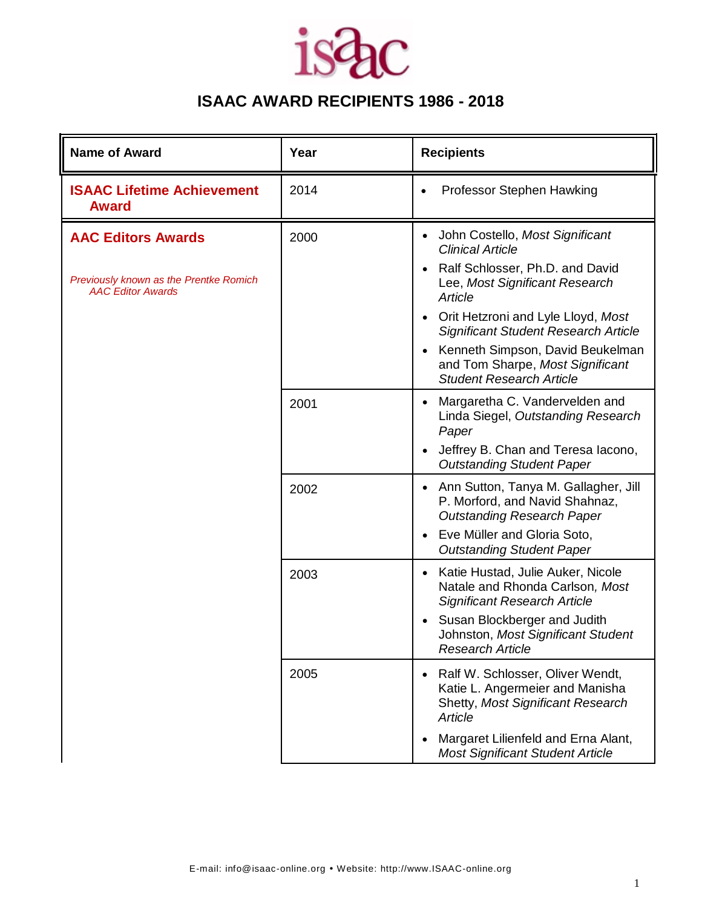

| <b>Name of Award</b>                                                                            | Year | <b>Recipients</b>                                                                                                                                                                                                                                                                                                                              |
|-------------------------------------------------------------------------------------------------|------|------------------------------------------------------------------------------------------------------------------------------------------------------------------------------------------------------------------------------------------------------------------------------------------------------------------------------------------------|
| <b>ISAAC Lifetime Achievement</b><br><b>Award</b>                                               | 2014 | Professor Stephen Hawking<br>$\bullet$                                                                                                                                                                                                                                                                                                         |
| <b>AAC Editors Awards</b><br>Previously known as the Prentke Romich<br><b>AAC Editor Awards</b> | 2000 | John Costello, Most Significant<br>$\bullet$<br><b>Clinical Article</b><br>Ralf Schlosser, Ph.D. and David<br>$\bullet$<br>Lee, Most Significant Research<br>Article<br>Orit Hetzroni and Lyle Lloyd, Most<br>$\bullet$<br><b>Significant Student Research Article</b><br>Kenneth Simpson, David Beukelman<br>and Tom Sharpe, Most Significant |
|                                                                                                 | 2001 | <b>Student Research Article</b><br>Margaretha C. Vandervelden and<br>Linda Siegel, Outstanding Research<br>Paper<br>Jeffrey B. Chan and Teresa lacono,<br><b>Outstanding Student Paper</b>                                                                                                                                                     |
|                                                                                                 | 2002 | Ann Sutton, Tanya M. Gallagher, Jill<br>$\bullet$<br>P. Morford, and Navid Shahnaz,<br><b>Outstanding Research Paper</b><br>Eve Müller and Gloria Soto,<br>$\bullet$<br><b>Outstanding Student Paper</b>                                                                                                                                       |
|                                                                                                 | 2003 | Katie Hustad, Julie Auker, Nicole<br>$\bullet$<br>Natale and Rhonda Carlson, Most<br><b>Significant Research Article</b><br>Susan Blockberger and Judith<br>$\bullet$<br>Johnston, Most Significant Student<br><b>Research Article</b>                                                                                                         |
|                                                                                                 | 2005 | Ralf W. Schlosser, Oliver Wendt,<br>Katie L. Angermeier and Manisha<br><b>Shetty, Most Significant Research</b><br>Article<br>Margaret Lilienfeld and Erna Alant,<br><b>Most Significant Student Article</b>                                                                                                                                   |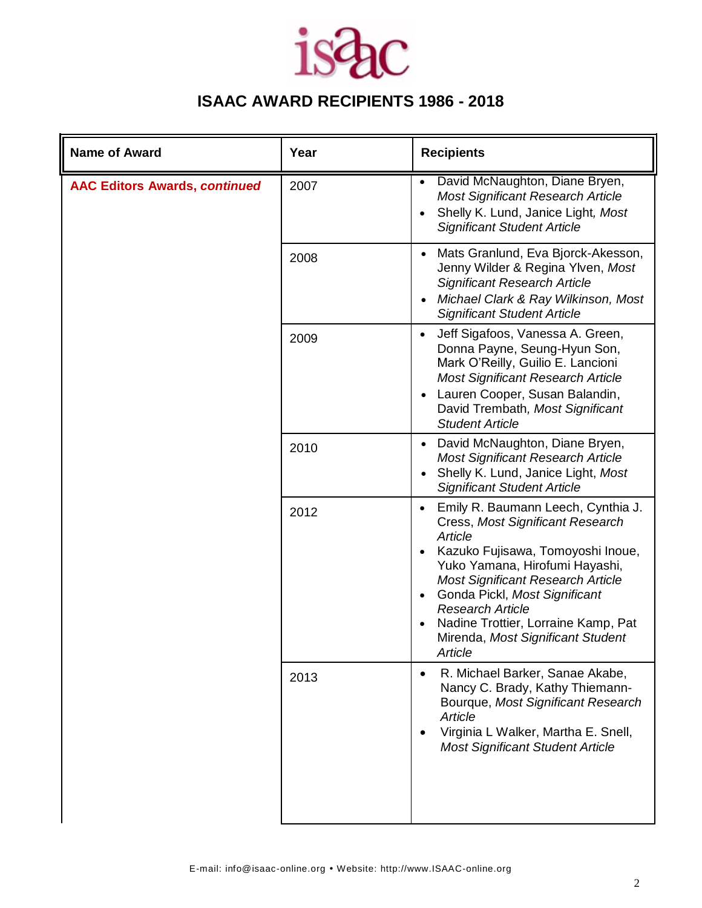### ЪC **is**

| <b>Name of Award</b>                 | Year | <b>Recipients</b>                                                                                                                                                                                                                                                                                                                                                                 |
|--------------------------------------|------|-----------------------------------------------------------------------------------------------------------------------------------------------------------------------------------------------------------------------------------------------------------------------------------------------------------------------------------------------------------------------------------|
| <b>AAC Editors Awards, continued</b> | 2007 | David McNaughton, Diane Bryen,<br>$\bullet$<br><b>Most Significant Research Article</b><br>Shelly K. Lund, Janice Light, Most<br>$\bullet$<br><b>Significant Student Article</b>                                                                                                                                                                                                  |
|                                      | 2008 | Mats Granlund, Eva Bjorck-Akesson,<br>Jenny Wilder & Regina Ylven, Most<br><b>Significant Research Article</b><br>Michael Clark & Ray Wilkinson, Most<br><b>Significant Student Article</b>                                                                                                                                                                                       |
|                                      | 2009 | Jeff Sigafoos, Vanessa A. Green,<br>$\bullet$<br>Donna Payne, Seung-Hyun Son,<br>Mark O'Reilly, Guilio E. Lancioni<br><b>Most Significant Research Article</b><br>Lauren Cooper, Susan Balandin,<br>David Trembath, Most Significant<br><b>Student Article</b>                                                                                                                    |
|                                      | 2010 | David McNaughton, Diane Bryen,<br>$\bullet$<br><b>Most Significant Research Article</b><br>Shelly K. Lund, Janice Light, Most<br><b>Significant Student Article</b>                                                                                                                                                                                                               |
|                                      | 2012 | Emily R. Baumann Leech, Cynthia J.<br>$\bullet$<br>Cress, Most Significant Research<br>Article<br>Kazuko Fujisawa, Tomoyoshi Inoue,<br>Yuko Yamana, Hirofumi Hayashi,<br><b>Most Significant Research Article</b><br>Gonda Pickl, Most Significant<br>$\bullet$<br><b>Research Article</b><br>Nadine Trottier, Lorraine Kamp, Pat<br>Mirenda, Most Significant Student<br>Article |
|                                      | 2013 | R. Michael Barker, Sanae Akabe,<br>$\bullet$<br>Nancy C. Brady, Kathy Thiemann-<br>Bourque, Most Significant Research<br>Article<br>Virginia L Walker, Martha E. Snell,<br>$\bullet$<br><b>Most Significant Student Article</b>                                                                                                                                                   |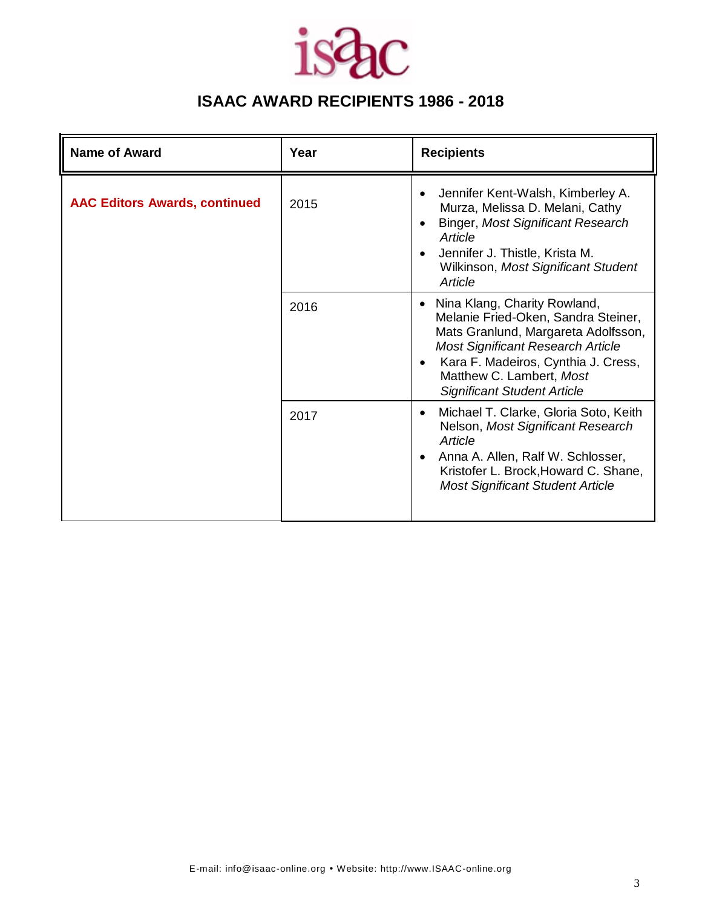

| <b>Name of Award</b>                 | Year | <b>Recipients</b>                                                                                                                                                                                                                                                            |
|--------------------------------------|------|------------------------------------------------------------------------------------------------------------------------------------------------------------------------------------------------------------------------------------------------------------------------------|
| <b>AAC Editors Awards, continued</b> | 2015 | Jennifer Kent-Walsh, Kimberley A.<br>Murza, Melissa D. Melani, Cathy<br><b>Binger, Most Significant Research</b><br>Article<br>Jennifer J. Thistle, Krista M.<br>Wilkinson, Most Significant Student<br>Article                                                              |
|                                      | 2016 | Nina Klang, Charity Rowland,<br>$\bullet$<br>Melanie Fried-Oken, Sandra Steiner,<br>Mats Granlund, Margareta Adolfsson,<br><b>Most Significant Research Article</b><br>Kara F. Madeiros, Cynthia J. Cress,<br>Matthew C. Lambert, Most<br><b>Significant Student Article</b> |
|                                      | 2017 | Michael T. Clarke, Gloria Soto, Keith<br>$\bullet$<br>Nelson, Most Significant Research<br>Article<br>Anna A. Allen, Ralf W. Schlosser,<br>Kristofer L. Brock, Howard C. Shane,<br><b>Most Significant Student Article</b>                                                   |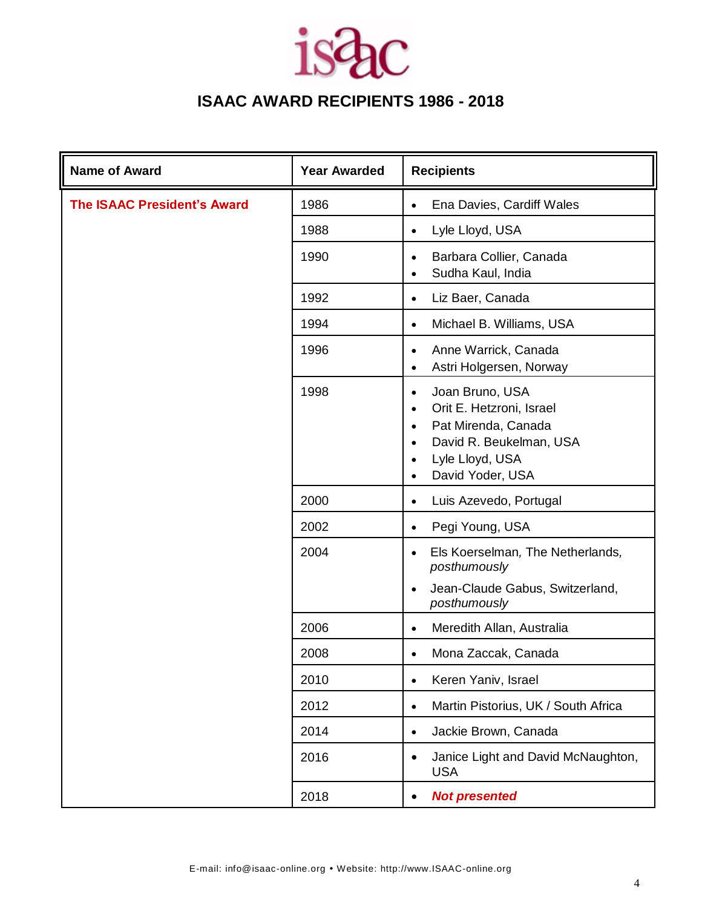| <b>Name of Award</b>               | <b>Year Awarded</b> | <b>Recipients</b>                                                                                                                                                                                                  |
|------------------------------------|---------------------|--------------------------------------------------------------------------------------------------------------------------------------------------------------------------------------------------------------------|
| <b>The ISAAC President's Award</b> | 1986                | Ena Davies, Cardiff Wales<br>$\bullet$                                                                                                                                                                             |
|                                    | 1988                | Lyle Lloyd, USA<br>$\bullet$                                                                                                                                                                                       |
|                                    | 1990                | Barbara Collier, Canada<br>$\bullet$<br>Sudha Kaul, India<br>$\bullet$                                                                                                                                             |
|                                    | 1992                | Liz Baer, Canada<br>$\bullet$                                                                                                                                                                                      |
|                                    | 1994                | Michael B. Williams, USA<br>$\bullet$                                                                                                                                                                              |
|                                    | 1996                | Anne Warrick, Canada<br>$\bullet$<br>Astri Holgersen, Norway<br>$\bullet$                                                                                                                                          |
|                                    | 1998                | Joan Bruno, USA<br>$\bullet$<br>Orit E. Hetzroni, Israel<br>$\bullet$<br>Pat Mirenda, Canada<br>$\bullet$<br>David R. Beukelman, USA<br>$\bullet$<br>Lyle Lloyd, USA<br>$\bullet$<br>David Yoder, USA<br>$\bullet$ |
|                                    | 2000                | Luis Azevedo, Portugal<br>$\bullet$                                                                                                                                                                                |
|                                    | 2002                | Pegi Young, USA<br>$\bullet$                                                                                                                                                                                       |
|                                    | 2004                | Els Koerselman, The Netherlands,<br>$\bullet$<br>posthumously<br>Jean-Claude Gabus, Switzerland,<br>$\bullet$                                                                                                      |
|                                    |                     | posthumously                                                                                                                                                                                                       |
|                                    | 2006                | Meredith Allan, Australia<br>$\bullet$                                                                                                                                                                             |
|                                    | 2008                | Mona Zaccak, Canada<br>$\bullet$                                                                                                                                                                                   |
|                                    | 2010                | Keren Yaniv, Israel<br>$\bullet$                                                                                                                                                                                   |
|                                    | 2012                | Martin Pistorius, UK / South Africa<br>$\bullet$                                                                                                                                                                   |
|                                    | 2014                | Jackie Brown, Canada<br>$\bullet$                                                                                                                                                                                  |
|                                    | 2016                | Janice Light and David McNaughton,<br>$\bullet$<br><b>USA</b>                                                                                                                                                      |
|                                    | 2018                | <b>Not presented</b><br>$\bullet$                                                                                                                                                                                  |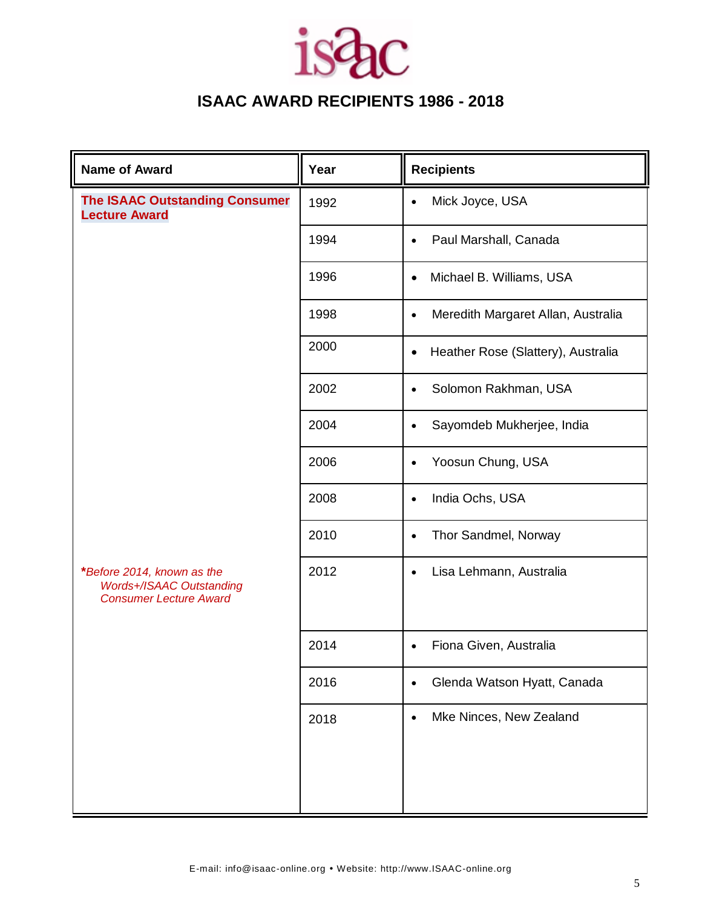| <b>Name of Award</b>                                                                           | Year | <b>Recipients</b>                               |
|------------------------------------------------------------------------------------------------|------|-------------------------------------------------|
| <b>The ISAAC Outstanding Consumer</b><br><b>Lecture Award</b>                                  | 1992 | Mick Joyce, USA<br>$\bullet$                    |
|                                                                                                | 1994 | Paul Marshall, Canada<br>$\bullet$              |
|                                                                                                | 1996 | Michael B. Williams, USA<br>$\bullet$           |
|                                                                                                | 1998 | Meredith Margaret Allan, Australia<br>$\bullet$ |
|                                                                                                | 2000 | Heather Rose (Slattery), Australia<br>$\bullet$ |
|                                                                                                | 2002 | Solomon Rakhman, USA<br>$\bullet$               |
|                                                                                                | 2004 | Sayomdeb Mukherjee, India<br>$\bullet$          |
|                                                                                                | 2006 | Yoosun Chung, USA<br>$\bullet$                  |
|                                                                                                | 2008 | India Ochs, USA<br>$\bullet$                    |
|                                                                                                | 2010 | Thor Sandmel, Norway<br>$\bullet$               |
| *Before 2014, known as the<br><b>Words+/ISAAC Outstanding</b><br><b>Consumer Lecture Award</b> | 2012 | Lisa Lehmann, Australia<br>$\bullet$            |
|                                                                                                | 2014 | Fiona Given, Australia<br>$\bullet$             |
|                                                                                                | 2016 | Glenda Watson Hyatt, Canada<br>$\bullet$        |
|                                                                                                | 2018 | Mke Ninces, New Zealand<br>$\bullet$            |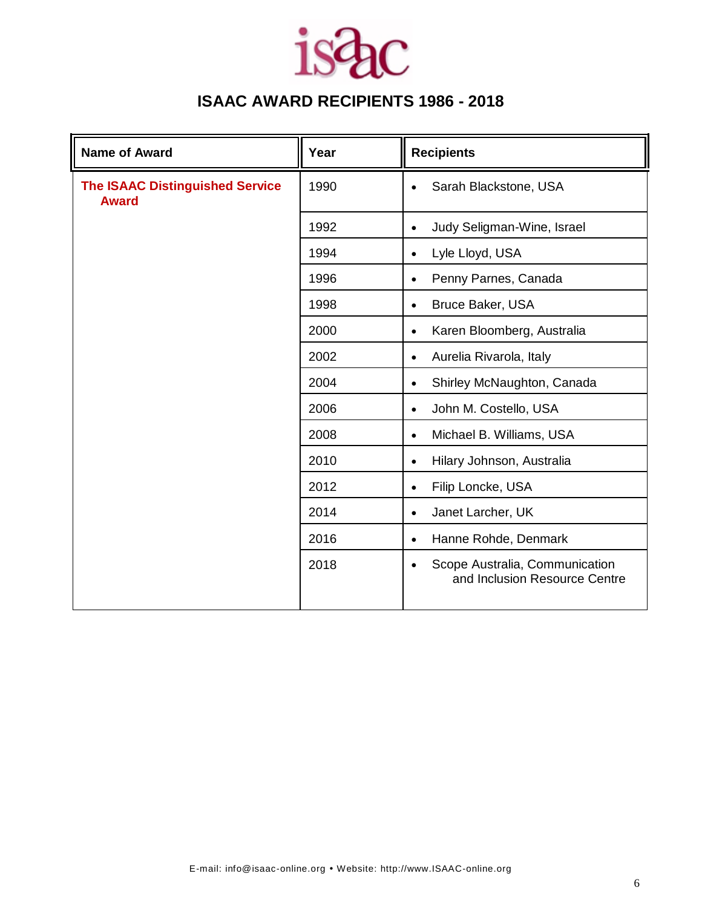| <b>Name of Award</b>                                   | Year | <b>Recipients</b>                                                            |
|--------------------------------------------------------|------|------------------------------------------------------------------------------|
| <b>The ISAAC Distinguished Service</b><br><b>Award</b> | 1990 | Sarah Blackstone, USA<br>$\bullet$                                           |
|                                                        | 1992 | Judy Seligman-Wine, Israel<br>$\bullet$                                      |
|                                                        | 1994 | Lyle Lloyd, USA<br>$\bullet$                                                 |
|                                                        | 1996 | Penny Parnes, Canada<br>$\bullet$                                            |
|                                                        | 1998 | <b>Bruce Baker, USA</b><br>$\bullet$                                         |
|                                                        | 2000 | Karen Bloomberg, Australia<br>$\bullet$                                      |
|                                                        | 2002 | Aurelia Rivarola, Italy<br>$\bullet$                                         |
|                                                        | 2004 | Shirley McNaughton, Canada<br>$\bullet$                                      |
|                                                        | 2006 | John M. Costello, USA<br>$\bullet$                                           |
|                                                        | 2008 | Michael B. Williams, USA<br>$\bullet$                                        |
|                                                        | 2010 | Hilary Johnson, Australia<br>$\bullet$                                       |
|                                                        | 2012 | Filip Loncke, USA<br>$\bullet$                                               |
|                                                        | 2014 | Janet Larcher, UK<br>$\bullet$                                               |
|                                                        | 2016 | Hanne Rohde, Denmark<br>$\bullet$                                            |
|                                                        | 2018 | Scope Australia, Communication<br>$\bullet$<br>and Inclusion Resource Centre |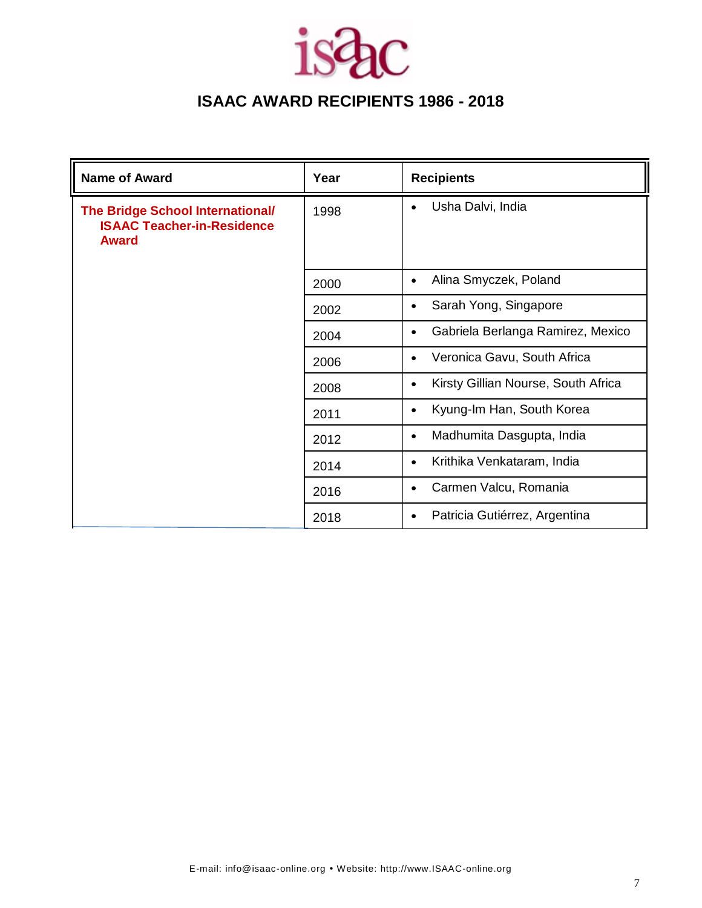| <b>Name of Award</b>                                                                         | Year | <b>Recipients</b>                                |
|----------------------------------------------------------------------------------------------|------|--------------------------------------------------|
| <b>The Bridge School International/</b><br><b>ISAAC Teacher-in-Residence</b><br><b>Award</b> | 1998 | Usha Dalvi, India<br>$\bullet$                   |
|                                                                                              | 2000 | Alina Smyczek, Poland<br>$\bullet$               |
|                                                                                              | 2002 | Sarah Yong, Singapore<br>$\bullet$               |
|                                                                                              | 2004 | Gabriela Berlanga Ramirez, Mexico<br>$\bullet$   |
|                                                                                              | 2006 | Veronica Gavu, South Africa<br>$\bullet$         |
|                                                                                              | 2008 | Kirsty Gillian Nourse, South Africa<br>$\bullet$ |
|                                                                                              | 2011 | Kyung-Im Han, South Korea<br>$\bullet$           |
|                                                                                              | 2012 | Madhumita Dasgupta, India<br>$\bullet$           |
|                                                                                              | 2014 | Krithika Venkataram, India<br>$\bullet$          |
|                                                                                              | 2016 | Carmen Valcu, Romania<br>$\bullet$               |
|                                                                                              | 2018 | Patricia Gutiérrez, Argentina<br>$\bullet$       |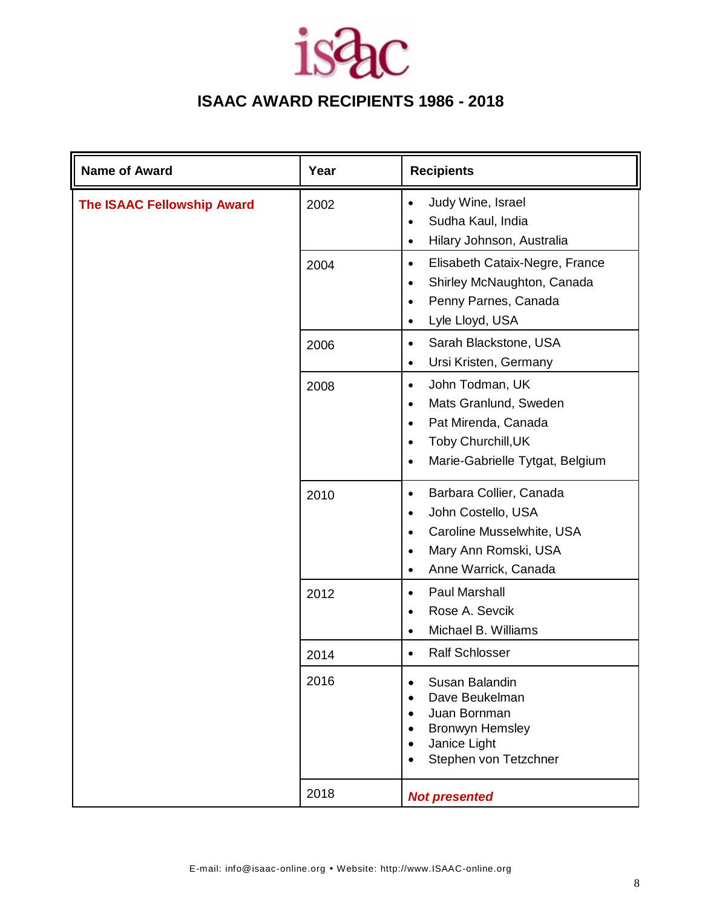| <b>Name of Award</b>              | Year | <b>Recipients</b>                                                                                                                                                                                 |
|-----------------------------------|------|---------------------------------------------------------------------------------------------------------------------------------------------------------------------------------------------------|
| <b>The ISAAC Fellowship Award</b> | 2002 | Judy Wine, Israel<br>$\bullet$<br>Sudha Kaul, India<br>$\bullet$<br>Hilary Johnson, Australia<br>$\bullet$                                                                                        |
|                                   | 2004 | Elisabeth Cataix-Negre, France<br>$\bullet$<br>Shirley McNaughton, Canada<br>$\bullet$<br>Penny Parnes, Canada<br>$\bullet$<br>Lyle Lloyd, USA<br>$\bullet$                                       |
|                                   | 2006 | Sarah Blackstone, USA<br>$\bullet$<br>Ursi Kristen, Germany<br>$\bullet$                                                                                                                          |
|                                   | 2008 | John Todman, UK<br>$\bullet$<br>Mats Granlund, Sweden<br>$\bullet$<br>Pat Mirenda, Canada<br>$\bullet$<br>Toby Churchill, UK<br>$\bullet$<br>Marie-Gabrielle Tytgat, Belgium<br>$\bullet$         |
|                                   | 2010 | Barbara Collier, Canada<br>$\bullet$<br>John Costello, USA<br>$\bullet$<br>Caroline Musselwhite, USA<br>$\bullet$<br>Mary Ann Romski, USA<br>$\bullet$<br>Anne Warrick, Canada<br>$\bullet$       |
|                                   | 2012 | Paul Marshall<br>$\bullet$<br>Rose A. Sevcik<br>$\bullet$<br>Michael B. Williams<br>$\bullet$                                                                                                     |
|                                   | 2014 | <b>Ralf Schlosser</b><br>$\bullet$                                                                                                                                                                |
|                                   | 2016 | Susan Balandin<br>$\bullet$<br>Dave Beukelman<br>$\bullet$<br>Juan Bornman<br>$\bullet$<br><b>Bronwyn Hemsley</b><br>$\bullet$<br>Janice Light<br>$\bullet$<br>Stephen von Tetzchner<br>$\bullet$ |
|                                   | 2018 | <b>Not presented</b>                                                                                                                                                                              |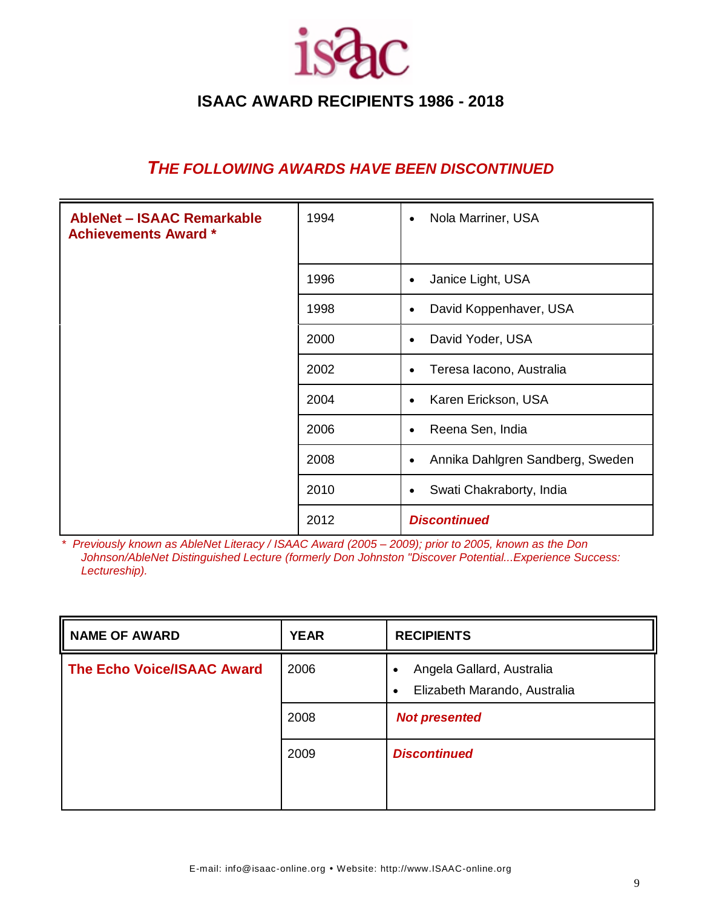

#### *THE FOLLOWING AWARDS HAVE BEEN DISCONTINUED*

| <b>AbleNet - ISAAC Remarkable</b><br><b>Achievements Award *</b> | 1994 | Nola Marriner, USA<br>$\bullet$               |
|------------------------------------------------------------------|------|-----------------------------------------------|
|                                                                  | 1996 | Janice Light, USA<br>$\bullet$                |
|                                                                  | 1998 | David Koppenhaver, USA<br>$\bullet$           |
|                                                                  | 2000 | David Yoder, USA<br>$\bullet$                 |
|                                                                  | 2002 | Teresa Iacono, Australia<br>$\bullet$         |
|                                                                  | 2004 | Karen Erickson, USA<br>$\bullet$              |
|                                                                  | 2006 | Reena Sen, India<br>$\bullet$                 |
|                                                                  | 2008 | Annika Dahlgren Sandberg, Sweden<br>$\bullet$ |
|                                                                  | 2010 | Swati Chakraborty, India<br>$\bullet$         |
|                                                                  | 2012 | <b>Discontinued</b>                           |

\* *Previously known as AbleNet Literacy / ISAAC Award (2005 – 2009); prior to 2005, known as the Don Johnson/AbleNet Distinguished Lecture (formerly Don Johnston "Discover Potential...Experience Success: Lectureship).*

| <b>NAME OF AWARD</b>              | <b>YEAR</b> | <b>RECIPIENTS</b>                                                      |
|-----------------------------------|-------------|------------------------------------------------------------------------|
| <b>The Echo Voice/ISAAC Award</b> | 2006        | Angela Gallard, Australia<br>Elizabeth Marando, Australia<br>$\bullet$ |
|                                   | 2008        | <b>Not presented</b>                                                   |
|                                   | 2009        | <b>Discontinued</b>                                                    |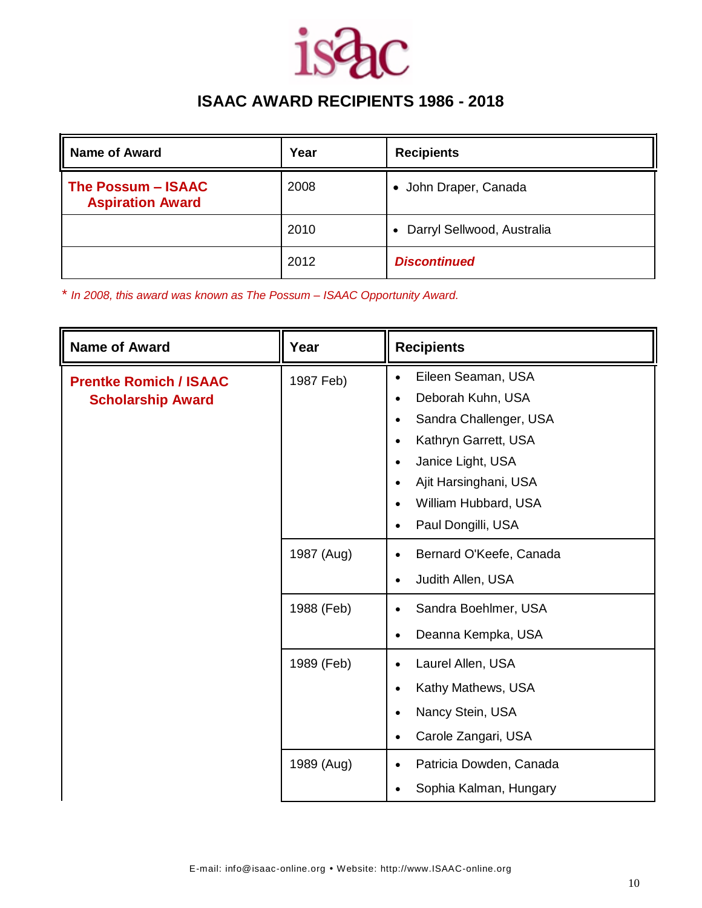

| <b>Name of Award</b>                          | Year | <b>Recipients</b>            |
|-----------------------------------------------|------|------------------------------|
| The Possum - ISAAC<br><b>Aspiration Award</b> | 2008 | • John Draper, Canada        |
|                                               | 2010 | • Darryl Sellwood, Australia |
|                                               | 2012 | <b>Discontinued</b>          |

\* *In 2008, this award was known as The Possum – ISAAC Opportunity Award.*

| <b>Name of Award</b>                                      | Year       | <b>Recipients</b>                                                                                                                                                                                                                                                                             |
|-----------------------------------------------------------|------------|-----------------------------------------------------------------------------------------------------------------------------------------------------------------------------------------------------------------------------------------------------------------------------------------------|
| <b>Prentke Romich / ISAAC</b><br><b>Scholarship Award</b> | 1987 Feb)  | Eileen Seaman, USA<br>$\bullet$<br>Deborah Kuhn, USA<br>$\bullet$<br>Sandra Challenger, USA<br>$\bullet$<br>Kathryn Garrett, USA<br>$\bullet$<br>Janice Light, USA<br>$\bullet$<br>Ajit Harsinghani, USA<br>$\bullet$<br>William Hubbard, USA<br>$\bullet$<br>Paul Dongilli, USA<br>$\bullet$ |
|                                                           | 1987 (Aug) | Bernard O'Keefe, Canada<br>$\bullet$<br>Judith Allen, USA<br>$\bullet$                                                                                                                                                                                                                        |
|                                                           | 1988 (Feb) | Sandra Boehlmer, USA<br>$\bullet$<br>Deanna Kempka, USA<br>$\bullet$                                                                                                                                                                                                                          |
|                                                           | 1989 (Feb) | Laurel Allen, USA<br>$\bullet$<br>Kathy Mathews, USA<br>$\bullet$<br>Nancy Stein, USA<br>$\bullet$<br>Carole Zangari, USA<br>$\bullet$                                                                                                                                                        |
|                                                           | 1989 (Aug) | Patricia Dowden, Canada<br>$\bullet$<br>Sophia Kalman, Hungary<br>$\bullet$                                                                                                                                                                                                                   |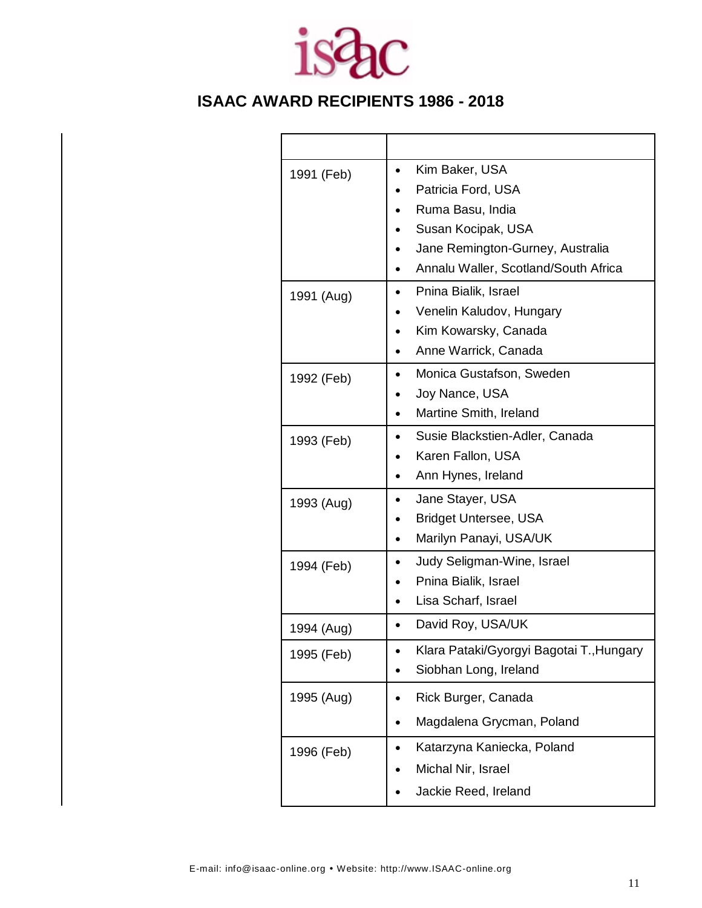

| 1991 (Feb) | Kim Baker, USA<br>Patricia Ford, USA<br>Ruma Basu, India                                         |
|------------|--------------------------------------------------------------------------------------------------|
|            | Susan Kocipak, USA<br>Jane Remington-Gurney, Australia<br>Annalu Waller, Scotland/South Africa   |
| 1991 (Aug) | Pnina Bialik, Israel<br>Venelin Kaludov, Hungary<br>Kim Kowarsky, Canada<br>Anne Warrick, Canada |
| 1992 (Feb) | Monica Gustafson, Sweden<br>Joy Nance, USA<br>Martine Smith, Ireland                             |
| 1993 (Feb) | Susie Blackstien-Adler, Canada<br>Karen Fallon, USA<br>Ann Hynes, Ireland                        |
| 1993 (Aug) | Jane Stayer, USA<br><b>Bridget Untersee, USA</b><br>Marilyn Panayi, USA/UK                       |
| 1994 (Feb) | Judy Seligman-Wine, Israel<br>Pnina Bialik, Israel<br>Lisa Scharf, Israel                        |
| 1994 (Aug) | David Roy, USA/UK                                                                                |
| 1995 (Feb) | Klara Pataki/Gyorgyi Bagotai T., Hungary<br>Siobhan Long, Ireland                                |
| 1995 (Aug) | Rick Burger, Canada<br>Magdalena Grycman, Poland                                                 |
| 1996 (Feb) | Katarzyna Kaniecka, Poland<br>Michal Nir, Israel<br>Jackie Reed, Ireland                         |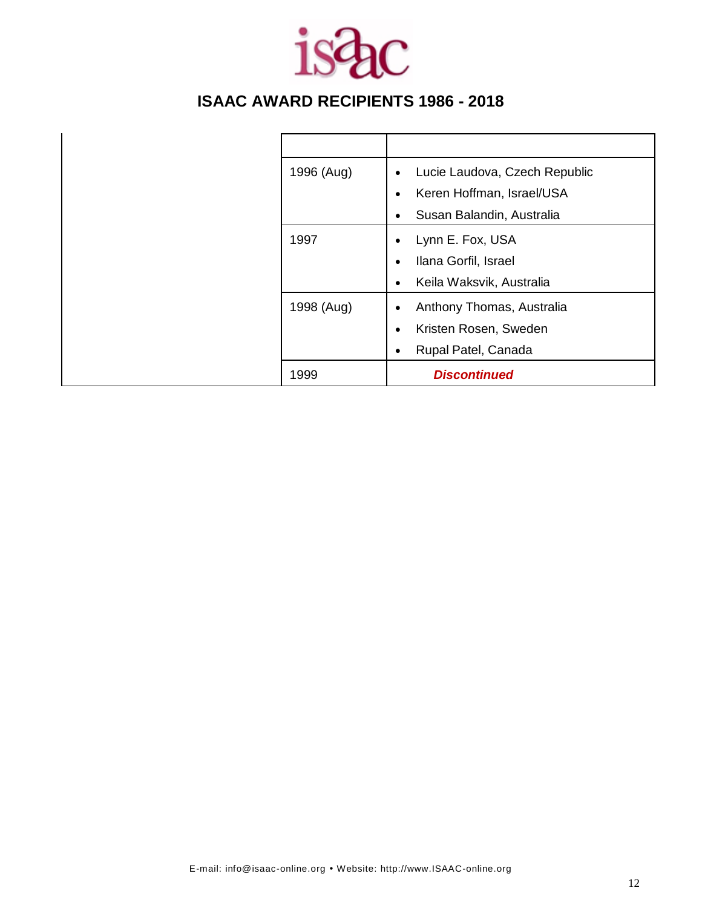

| 1996 (Aug) | Lucie Laudova, Czech Republic<br>$\bullet$ |
|------------|--------------------------------------------|
|            | Keren Hoffman, Israel/USA<br>$\bullet$     |
|            | Susan Balandin, Australia                  |
| 1997       | Lynn E. Fox, USA<br>٠                      |
|            | Ilana Gorfil, Israel<br>$\bullet$          |
|            | Keila Waksvik, Australia<br>٠              |
| 1998 (Aug) | Anthony Thomas, Australia<br>$\bullet$     |
|            | Kristen Rosen, Sweden<br>$\bullet$         |
|            | Rupal Patel, Canada<br>٠                   |
| 1999       | <b>Discontinued</b>                        |
|            |                                            |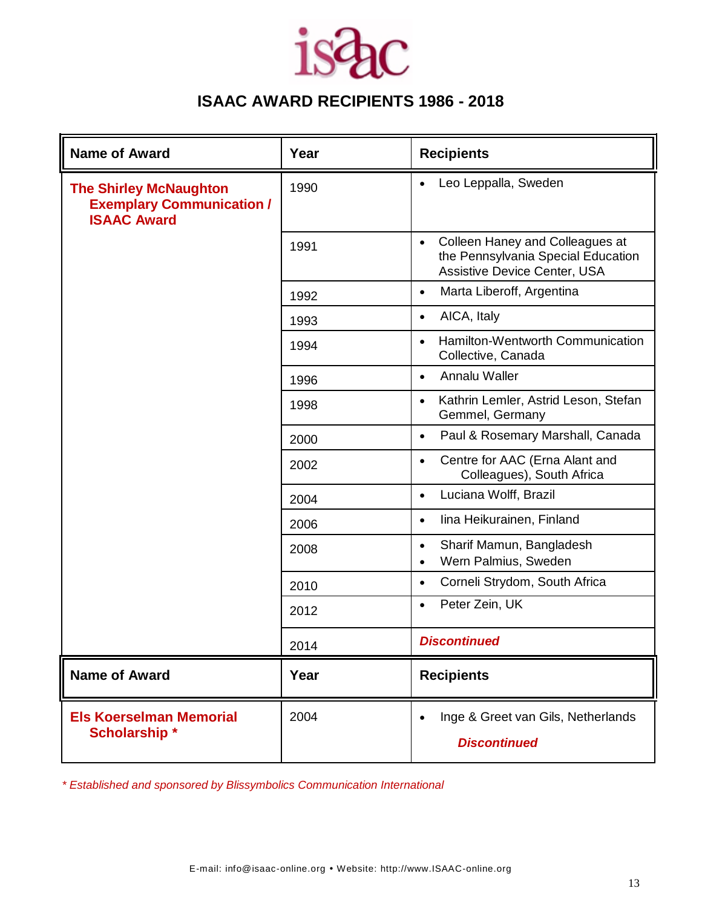### *isdac*

### **ISAAC AWARD RECIPIENTS 1986 - 2018**

| <b>Name of Award</b>                                                                    | Year | <b>Recipients</b>                                                                                                  |
|-----------------------------------------------------------------------------------------|------|--------------------------------------------------------------------------------------------------------------------|
| <b>The Shirley McNaughton</b><br><b>Exemplary Communication /</b><br><b>ISAAC Award</b> | 1990 | Leo Leppalla, Sweden                                                                                               |
|                                                                                         | 1991 | Colleen Haney and Colleagues at<br>$\bullet$<br>the Pennsylvania Special Education<br>Assistive Device Center, USA |
|                                                                                         | 1992 | Marta Liberoff, Argentina<br>$\bullet$                                                                             |
|                                                                                         | 1993 | AICA, Italy<br>$\bullet$                                                                                           |
|                                                                                         | 1994 | Hamilton-Wentworth Communication<br>$\bullet$<br>Collective, Canada                                                |
|                                                                                         | 1996 | Annalu Waller<br>$\bullet$                                                                                         |
|                                                                                         | 1998 | Kathrin Lemler, Astrid Leson, Stefan<br>$\bullet$<br>Gemmel, Germany                                               |
|                                                                                         | 2000 | Paul & Rosemary Marshall, Canada<br>$\bullet$                                                                      |
|                                                                                         | 2002 | Centre for AAC (Erna Alant and<br>$\bullet$<br>Colleagues), South Africa                                           |
|                                                                                         | 2004 | Luciana Wolff, Brazil<br>$\bullet$                                                                                 |
|                                                                                         | 2006 | lina Heikurainen, Finland<br>$\bullet$                                                                             |
|                                                                                         | 2008 | Sharif Mamun, Bangladesh<br>$\bullet$<br>Wern Palmius, Sweden<br>$\bullet$                                         |
|                                                                                         | 2010 | Corneli Strydom, South Africa<br>$\bullet$                                                                         |
|                                                                                         | 2012 | Peter Zein, UK<br>$\bullet$                                                                                        |
|                                                                                         | 2014 | <b>Discontinued</b>                                                                                                |
| <b>Name of Award</b>                                                                    | Year | <b>Recipients</b>                                                                                                  |
| <b>Els Koerselman Memorial</b><br><b>Scholarship*</b>                                   | 2004 | Inge & Greet van Gils, Netherlands<br><b>Discontinued</b>                                                          |

*\* Established and sponsored by Blissymbolics Communication International*